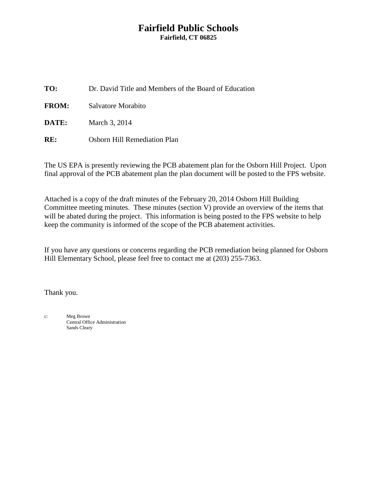# **Fairfield Public Schools Fairfield, CT 06825**

| TO:          | Dr. David Title and Members of the Board of Education |
|--------------|-------------------------------------------------------|
| <b>FROM:</b> | Salvatore Morabito                                    |
| DATE:        | March 3, 2014                                         |
| RE:          | <b>Osborn Hill Remediation Plan</b>                   |

The US EPA is presently reviewing the PCB abatement plan for the Osborn Hill Project. Upon final approval of the PCB abatement plan the plan document will be posted to the FPS website.

Attached is a copy of the draft minutes of the February 20, 2014 Osborn Hill Building Committee meeting minutes. These minutes (section V) provide an overview of the items that will be abated during the project. This information is being posted to the FPS website to help keep the community is informed of the scope of the PCB abatement activities.

If you have any questions or concerns regarding the PCB remediation being planned for Osborn Hill Elementary School, please feel free to contact me at (203) 255-7363.

Thank you.

c: Meg Brown Central Office Administration Sands Cleary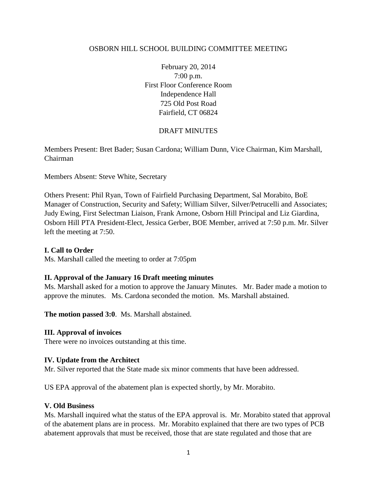### OSBORN HILL SCHOOL BUILDING COMMITTEE MEETING

February 20, 2014 7:00 p.m. First Floor Conference Room Independence Hall 725 Old Post Road Fairfield, CT 06824

### DRAFT MINUTES

Members Present: Bret Bader; Susan Cardona; William Dunn, Vice Chairman, Kim Marshall, Chairman

Members Absent: Steve White, Secretary

Others Present: Phil Ryan, Town of Fairfield Purchasing Department, Sal Morabito, BoE Manager of Construction, Security and Safety; William Silver, Silver/Petrucelli and Associates; Judy Ewing, First Selectman Liaison, Frank Arnone, Osborn Hill Principal and Liz Giardina, Osborn Hill PTA President-Elect, Jessica Gerber, BOE Member, arrived at 7:50 p.m. Mr. Silver left the meeting at 7:50.

### **I. Call to Order**

Ms. Marshall called the meeting to order at 7:05pm

#### **II. Approval of the January 16 Draft meeting minutes**

Ms. Marshall asked for a motion to approve the January Minutes. Mr. Bader made a motion to approve the minutes. Ms. Cardona seconded the motion. Ms. Marshall abstained.

**The motion passed 3:0**. Ms. Marshall abstained.

#### **III. Approval of invoices**

There were no invoices outstanding at this time.

#### **IV. Update from the Architect**

Mr. Silver reported that the State made six minor comments that have been addressed.

US EPA approval of the abatement plan is expected shortly, by Mr. Morabito.

#### **V. Old Business**

Ms. Marshall inquired what the status of the EPA approval is. Mr. Morabito stated that approval of the abatement plans are in process. Mr. Morabito explained that there are two types of PCB abatement approvals that must be received, those that are state regulated and those that are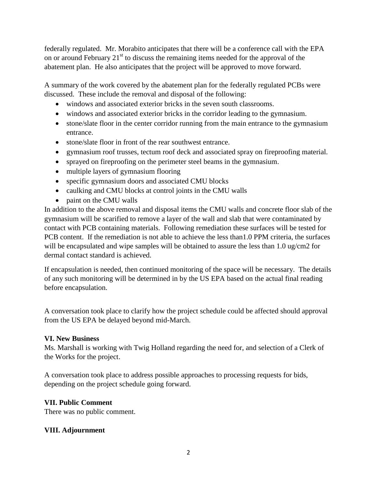federally regulated. Mr. Morabito anticipates that there will be a conference call with the EPA on or around February  $21<sup>st</sup>$  to discuss the remaining items needed for the approval of the abatement plan. He also anticipates that the project will be approved to move forward.

A summary of the work covered by the abatement plan for the federally regulated PCBs were discussed. These include the removal and disposal of the following:

- windows and associated exterior bricks in the seven south classrooms.
- windows and associated exterior bricks in the corridor leading to the gymnasium.
- stone/slate floor in the center corridor running from the main entrance to the gymnasium entrance.
- stone/slate floor in front of the rear southwest entrance.
- gymnasium roof trusses, tectum roof deck and associated spray on fireproofing material.
- sprayed on fireproofing on the perimeter steel beams in the gymnasium.
- multiple layers of gymnasium flooring
- specific gymnasium doors and associated CMU blocks
- caulking and CMU blocks at control joints in the CMU walls
- paint on the CMU walls

In addition to the above removal and disposal items the CMU walls and concrete floor slab of the gymnasium will be scarified to remove a layer of the wall and slab that were contaminated by contact with PCB containing materials. Following remediation these surfaces will be tested for PCB content. If the remediation is not able to achieve the less than1.0 PPM criteria, the surfaces will be encapsulated and wipe samples will be obtained to assure the less than 1.0 ug/cm2 for dermal contact standard is achieved.

If encapsulation is needed, then continued monitoring of the space will be necessary. The details of any such monitoring will be determined in by the US EPA based on the actual final reading before encapsulation.

A conversation took place to clarify how the project schedule could be affected should approval from the US EPA be delayed beyond mid-March.

# **VI. New Business**

Ms. Marshall is working with Twig Holland regarding the need for, and selection of a Clerk of the Works for the project.

A conversation took place to address possible approaches to processing requests for bids, depending on the project schedule going forward.

# **VII. Public Comment**

There was no public comment.

# **VIII. Adjournment**